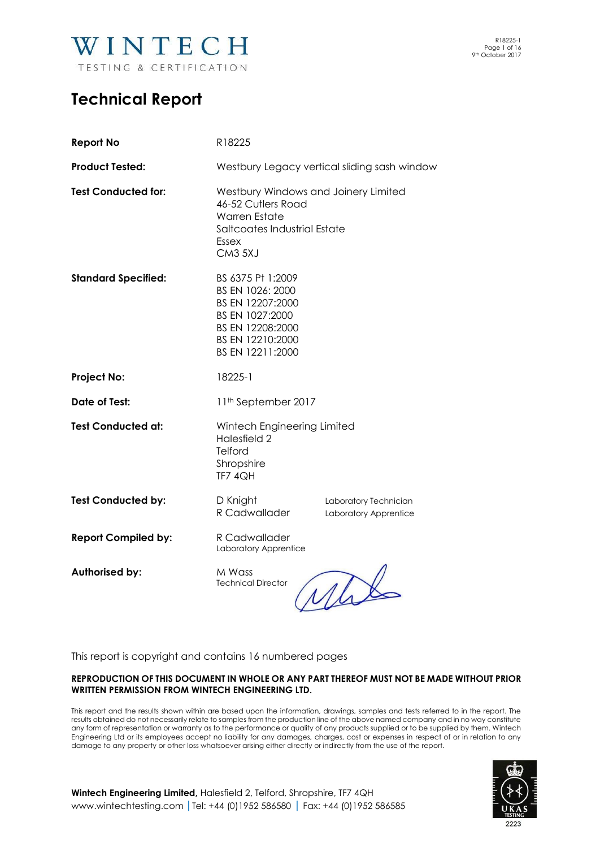

### **Technical Report**

| <b>Report No</b>           | R18225                                                                                                                                        |                                                |  |  |
|----------------------------|-----------------------------------------------------------------------------------------------------------------------------------------------|------------------------------------------------|--|--|
| <b>Product Tested:</b>     | Westbury Legacy vertical sliding sash window                                                                                                  |                                                |  |  |
| <b>Test Conducted for:</b> | Westbury Windows and Joinery Limited<br>46-52 Cutlers Road<br><b>Warren Estate</b><br>Saltcoates Industrial Estate<br><b>Essex</b><br>CM3 5XJ |                                                |  |  |
| <b>Standard Specified:</b> | BS 6375 Pt 1:2009<br>BS EN 1026: 2000<br>BS EN 12207:2000<br>BS EN 1027:2000<br>BS EN 12208:2000<br>BS EN 12210:2000<br>BS EN 12211:2000      |                                                |  |  |
| <b>Project No:</b>         | 18225-1                                                                                                                                       |                                                |  |  |
| Date of Test:              | 11 <sup>th</sup> September 2017                                                                                                               |                                                |  |  |
| <b>Test Conducted at:</b>  | Wintech Engineering Limited<br>Halesfield 2<br>Telford<br>Shropshire<br>TF7 4QH                                                               |                                                |  |  |
| <b>Test Conducted by:</b>  | D Knight<br>R Cadwallader                                                                                                                     | Laboratory Technician<br>Laboratory Apprentice |  |  |
| <b>Report Compiled by:</b> | R Cadwallader<br>Laboratory Apprentice                                                                                                        |                                                |  |  |
| <b>Authorised by:</b>      | M Wass<br><b>Technical Director</b>                                                                                                           |                                                |  |  |

This report is copyright and contains 16 numbered pages

#### **REPRODUCTION OF THIS DOCUMENT IN WHOLE OR ANY PART THEREOF MUST NOT BE MADE WITHOUT PRIOR WRITTEN PERMISSION FROM WINTECH ENGINEERING LTD.**

This report and the results shown within are based upon the information, drawings, samples and tests referred to in the report. The results obtained do not necessarily relate to samples from the production line of the above named company and in no way constitute any form of representation or warranty as to the performance or quality of any products supplied or to be supplied by them. Wintech Engineering Ltd or its employees accept no liability for any damages, charges, cost or expenses in respect of or in relation to any damage to any property or other loss whatsoever arising either directly or indirectly from the use of the report.



**Wintech Engineering Limited,** Halesfield 2, Telford, Shropshire, TF7 4QH [www.wintechtesting.com](http://www.wintechtesting.com/) **|**Tel: +44 (0)1952 586580 **|** Fax: +44 (0)1952 586585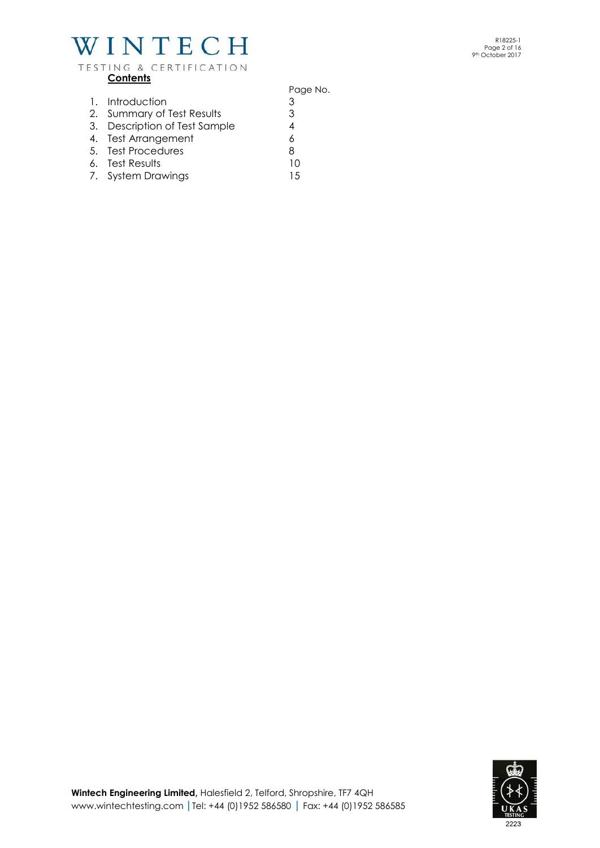### TESTING & CERTIFICATION **Contents**

Page No. 1. Introduction 3 2. Summary of Test Results 3 3. Description of Test Sample 4 4. Test Arrangement 6 5. Test Procedures 8 6. Test Results 10 7. System Drawings 15

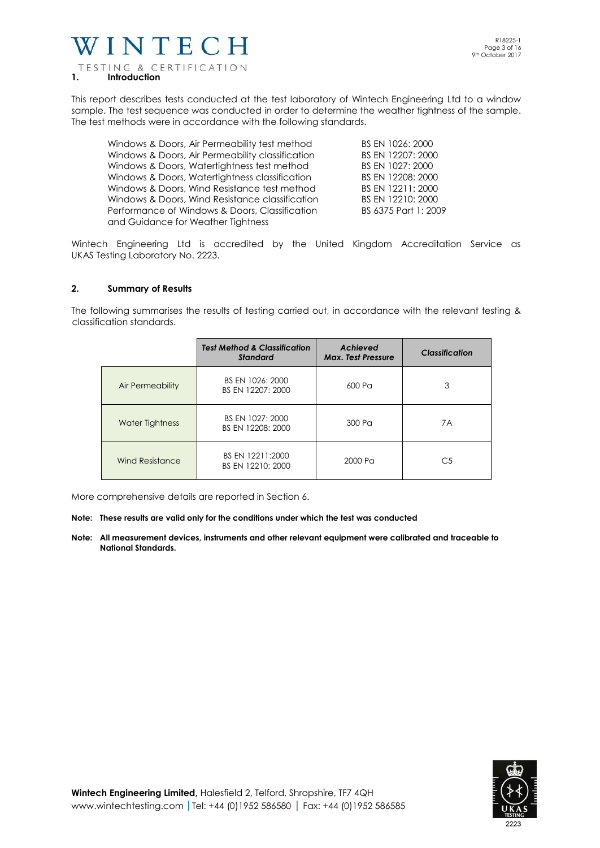### VINTECH TESTING & CERTIFICATION **1. Introduction**

This report describes tests conducted at the test laboratory of Wintech Engineering Ltd to a window sample. The test sequence was conducted in order to determine the weather tightness of the sample. The test methods were in accordance with the following standards.

| Windows & Doors, Air Permeability test method    | BS EN 1026: 2000     |
|--------------------------------------------------|----------------------|
| Windows & Doors, Air Permeability classification | BS EN 12207: 2000    |
| Windows & Doors, Watertightness test method      | BS EN 1027: 2000     |
| Windows & Doors, Watertightness classification   | BS EN 12208: 2000    |
| Windows & Doors, Wind Resistance test method     | BS EN 12211: 2000    |
| Windows & Doors, Wind Resistance classification  | BS EN 12210: 2000    |
| Performance of Windows & Doors, Classification   | BS 6375 Part 1: 2009 |
| and Guidance for Weather Tightness               |                      |
|                                                  |                      |

Wintech Engineering Ltd is accredited by the United Kingdom Accreditation Service as UKAS Testing Laboratory No. 2223.

#### **2. Summary of Results**

The following summarises the results of testing carried out, in accordance with the relevant testing & classification standards.

|                        | <b>Test Method &amp; Classification</b><br><b>Standard</b> | <b>Achieved</b><br><b>Max. Test Pressure</b> | Classification |
|------------------------|------------------------------------------------------------|----------------------------------------------|----------------|
| Air Permeability       | BS EN 1026: 2000<br>BS EN 12207: 2000                      | 600 Pa                                       | 3              |
| Water Tightness        | BS EN 1027: 2000<br>BS EN 12208: 2000                      | 300 Pa                                       | 7A             |
| <b>Wind Resistance</b> | BS EN 12211:2000<br>BS EN 12210: 2000                      | 2000 Pa                                      | C <sub>5</sub> |

More comprehensive details are reported in Section 6.

- **Note: These results are valid only for the conditions under which the test was conducted**
- **Note: All measurement devices, instruments and other relevant equipment were calibrated and traceable to National Standards.**

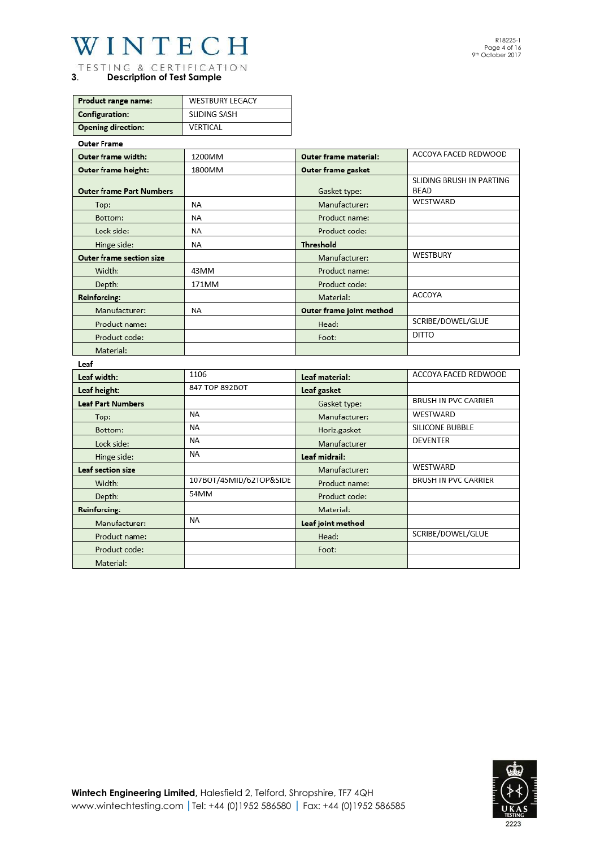TESTING & CERTIFICATION **3**. **Description of Test Sample**

| Product range name:       | <b>WESTBURY LEGACY</b> |
|---------------------------|------------------------|
| <b>Configuration:</b>     | SLIDING SASH           |
| <b>Opening direction:</b> | VERTICAL               |

#### **Outer Frame** ACCOYA FACED REDWOOD Outer frame width: 1200MM Outer frame material: Outer frame height: 1800MM Outer frame gasket SLIDING BRUSH IN PARTING **BEAD Outer frame Part Numbers** Gasket type: **WESTWARD NA** Manufacturer: Top: Bottom: **NA** Product name: Lock side: **NA** Product code: Hinge side: **NA** Threshold **WESTBURY** Outer frame section size Manufacturer: Width: 43MM Product name: 171MM Depth: Product code: **ACCOYA** Material: Reinforcing: Manufacturer: **NA** Outer frame joint method SCRIBE/DOWEL/GLUE Product name: Head:  $DITTO$ Product code: Foot: Material:

leaf

| Lear                     |                         |                   |                             |
|--------------------------|-------------------------|-------------------|-----------------------------|
| Leaf width:              | 1106                    | Leaf material:    | ACCOYA FACED REDWOOD        |
| Leaf height:             | 847 TOP 892BOT          | Leaf gasket       |                             |
| <b>Leaf Part Numbers</b> |                         | Gasket type:      | <b>BRUSH IN PVC CARRIER</b> |
| Top:                     | <b>NA</b>               | Manufacturer:     | WESTWARD                    |
| Bottom:                  | <b>NA</b>               | Horiz.gasket      | SILICONE BUBBLE             |
| Lock side:               | <b>NA</b>               | Manufacturer      | <b>DEVENTER</b>             |
| Hinge side:              | ΝA                      | Leaf midrail:     |                             |
| Leaf section size        |                         | Manufacturer:     | WESTWARD                    |
| Width:                   | 107BOT/45MID/62TOP&SIDE | Product name:     | <b>BRUSH IN PVC CARRIER</b> |
| Depth:                   | 54MM                    | Product code:     |                             |
| Reinforcing:             |                         | Material:         |                             |
| Manufacturer:            | <b>NA</b>               | Leaf joint method |                             |
| Product name:            |                         | Head:             | SCRIBE/DOWEL/GLUE           |
| Product code:            |                         | Foot:             |                             |
| Material:                |                         |                   |                             |

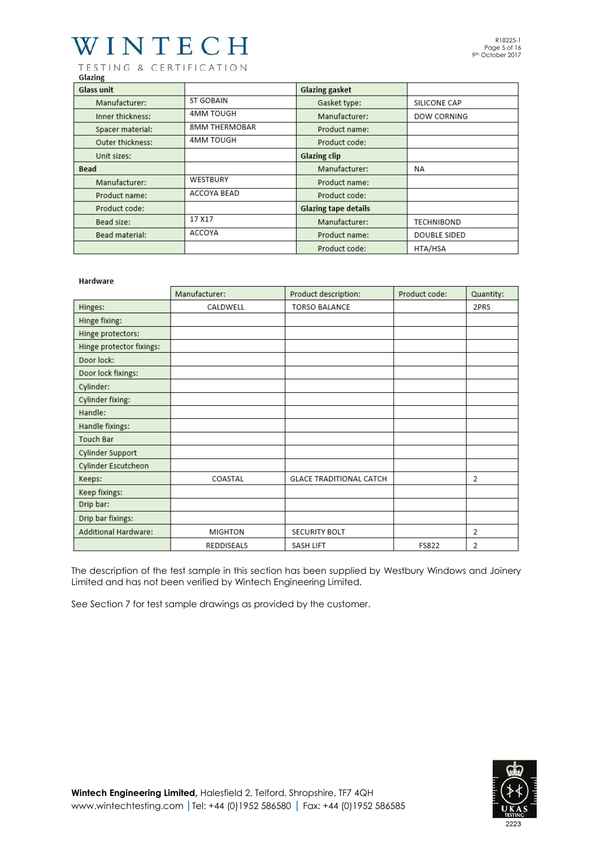TESTING & CERTIFICATION Glazing

| היי---            |                      |                             |              |
|-------------------|----------------------|-----------------------------|--------------|
| <b>Glass unit</b> |                      | <b>Glazing gasket</b>       |              |
| Manufacturer:     | ST GOBAIN            | Gasket type:                | SILICONE CAP |
| Inner thickness:  | 4MM TOUGH            | Manufacturer:               | DOW CORNING  |
| Spacer material:  | <b>8MM THERMOBAR</b> | Product name:               |              |
| Outer thickness:  | 4MM TOUGH            | Product code:               |              |
| Unit sizes:       |                      | <b>Glazing clip</b>         |              |
| <b>Bead</b>       |                      | Manufacturer:               | NA           |
| Manufacturer:     | WESTBURY             | Product name:               |              |
| Product name:     | ACCOYA BEAD          | Product code:               |              |
| Product code:     |                      | <b>Glazing tape details</b> |              |
| Bead size:        | 17 X17               | Manufacturer:               | TECHNIBOND   |
| Bead material:    | ACCOYA               | Product name:               | DOUBLE SIDED |
|                   |                      | Product code:               | HTA/HSA      |

#### Hardware

|                          | Manufacturer:  | Product description:           | Product code: | Quantity: |
|--------------------------|----------------|--------------------------------|---------------|-----------|
| Hinges:                  | CALDWELL       | <b>TORSO BALANCE</b>           |               | 2PRS      |
| Hinge fixing:            |                |                                |               |           |
| Hinge protectors:        |                |                                |               |           |
| Hinge protector fixings: |                |                                |               |           |
| Door lock:               |                |                                |               |           |
| Door lock fixings:       |                |                                |               |           |
| Cylinder:                |                |                                |               |           |
| Cylinder fixing:         |                |                                |               |           |
| Handle:                  |                |                                |               |           |
| Handle fixings:          |                |                                |               |           |
| Touch Bar                |                |                                |               |           |
| Cylinder Support         |                |                                |               |           |
| Cylinder Escutcheon      |                |                                |               |           |
| Keeps:                   | COASTAL        | <b>GLACE TRADITIONAL CATCH</b> |               | 2         |
| Keep fixings:            |                |                                |               |           |
| Drip bar:                |                |                                |               |           |
| Drip bar fixings:        |                |                                |               |           |
| Additional Hardware:     | <b>MIGHTON</b> | <b>SECURITY BOLT</b>           |               | 2         |
|                          | REDDISEALS     | SASH LIFT                      | FS822         | 2         |

The description of the test sample in this section has been supplied by Westbury Windows and Joinery Limited and has not been verified by Wintech Engineering Limited.

See Section 7 for test sample drawings as provided by the customer.

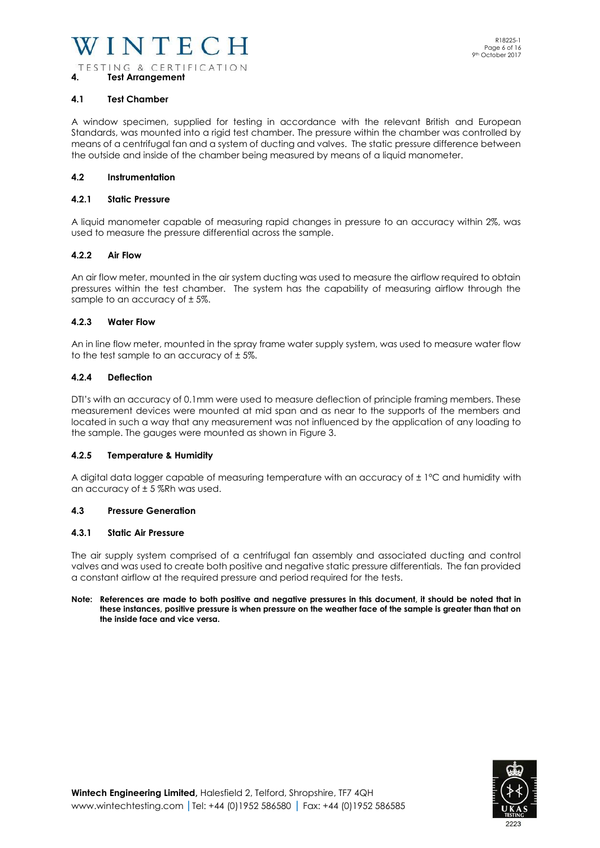#### **4.1 Test Chamber**

**4. Test Arrangement** 

A window specimen, supplied for testing in accordance with the relevant British and European Standards, was mounted into a rigid test chamber. The pressure within the chamber was controlled by means of a centrifugal fan and a system of ducting and valves. The static pressure difference between the outside and inside of the chamber being measured by means of a liquid manometer.

#### **4.2 Instrumentation**

#### **4.2.1 Static Pressure**

A liquid manometer capable of measuring rapid changes in pressure to an accuracy within 2%, was used to measure the pressure differential across the sample.

#### **4.2.2 Air Flow**

An air flow meter, mounted in the air system ducting was used to measure the airflow required to obtain pressures within the test chamber. The system has the capability of measuring airflow through the sample to an accuracy of ± 5%.

#### **4.2.3 Water Flow**

An in line flow meter, mounted in the spray frame water supply system, was used to measure water flow to the test sample to an accuracy of  $\pm$  5%.

#### **4.2.4 Deflection**

DTI's with an accuracy of 0.1mm were used to measure deflection of principle framing members. These measurement devices were mounted at mid span and as near to the supports of the members and located in such a way that any measurement was not influenced by the application of any loading to the sample. The gauges were mounted as shown in Figure 3.

#### **4.2.5 Temperature & Humidity**

A digital data logger capable of measuring temperature with an accuracy of ± 1°C and humidity with an accuracy of  $\pm$  5 %Rh was used.

#### **4.3 Pressure Generation**

#### **4.3.1 Static Air Pressure**

The air supply system comprised of a centrifugal fan assembly and associated ducting and control valves and was used to create both positive and negative static pressure differentials. The fan provided a constant airflow at the required pressure and period required for the tests.

#### **Note: References are made to both positive and negative pressures in this document, it should be noted that in these instances, positive pressure is when pressure on the weather face of the sample is greater than that on the inside face and vice versa.**

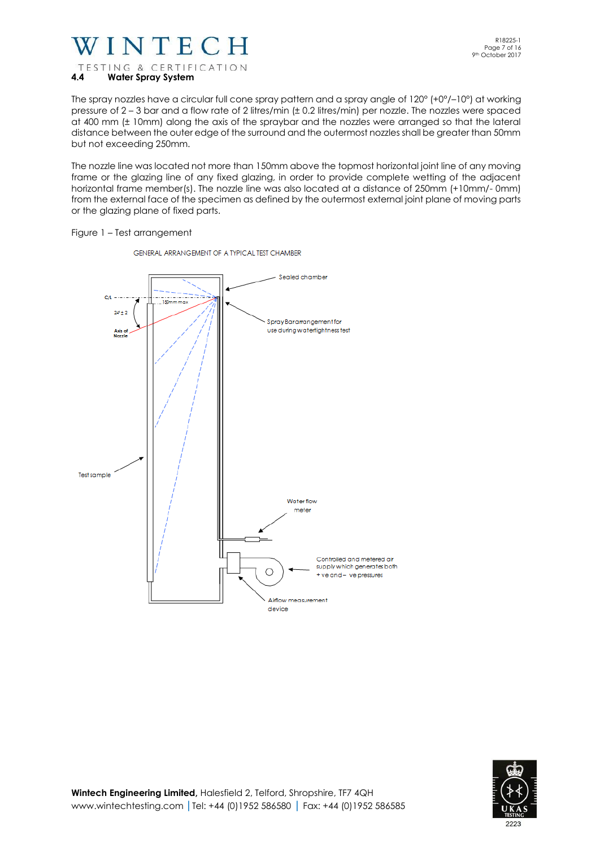

The spray nozzles have a circular full cone spray pattern and a spray angle of 120° (+0°/–10°) at working pressure of 2 – 3 bar and a flow rate of 2 litres/min (± 0.2 litres/min) per nozzle. The nozzles were spaced at 400 mm (± 10mm) along the axis of the spraybar and the nozzles were arranged so that the lateral distance between the outer edge of the surround and the outermost nozzles shall be greater than 50mm but not exceeding 250mm.

The nozzle line was located not more than 150mm above the topmost horizontal joint line of any moving frame or the glazing line of any fixed glazing, in order to provide complete wetting of the adjacent horizontal frame member(s). The nozzle line was also located at a distance of 250mm (+10mm/- 0mm) from the external face of the specimen as defined by the outermost external joint plane of moving parts or the glazing plane of fixed parts.

Figure 1 – Test arrangement



GENERAL ARRANGEMENT OF A TYPICAL TEST CHAMBER

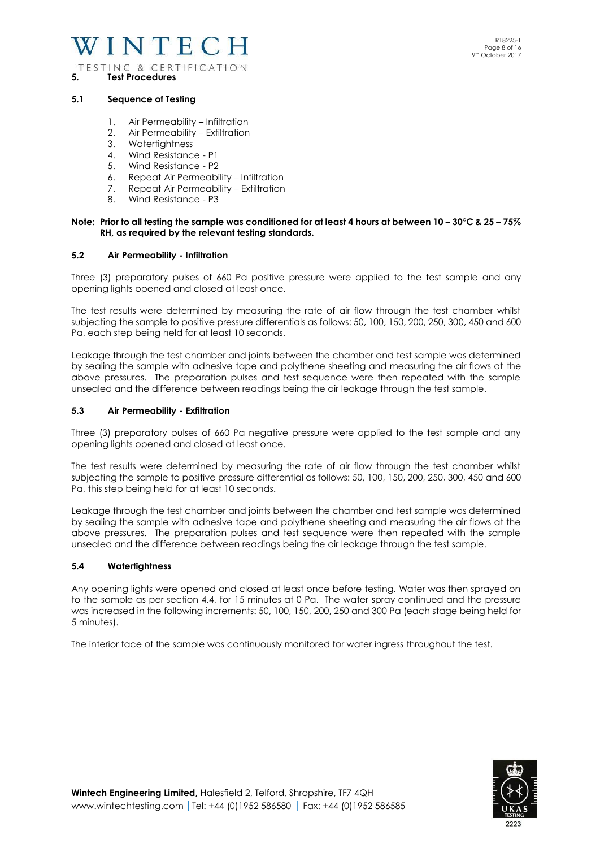#### **5.1 Sequence of Testing**

**5. Test Procedures**

- 1. Air Permeability Infiltration
- 2. Air Permeability Exfiltration
- 3. Watertightness
- 4. Wind Resistance P1
- 5. Wind Resistance P2
- 6. Repeat Air Permeability Infiltration
- 7. Repeat Air Permeability Exfiltration
- 8. Wind Resistance P3

#### **Note: Prior to all testing the sample was conditioned for at least 4 hours at between 10 – 30°C & 25 – 75% RH, as required by the relevant testing standards.**

#### **5.2 Air Permeability - Infiltration**

Three (3) preparatory pulses of 660 Pa positive pressure were applied to the test sample and any opening lights opened and closed at least once.

The test results were determined by measuring the rate of air flow through the test chamber whilst subjecting the sample to positive pressure differentials as follows: 50, 100, 150, 200, 250, 300, 450 and 600 Pa, each step being held for at least 10 seconds.

Leakage through the test chamber and joints between the chamber and test sample was determined by sealing the sample with adhesive tape and polythene sheeting and measuring the air flows at the above pressures. The preparation pulses and test sequence were then repeated with the sample unsealed and the difference between readings being the air leakage through the test sample.

#### **5.3 Air Permeability - Exfiltration**

Three (3) preparatory pulses of 660 Pa negative pressure were applied to the test sample and any opening lights opened and closed at least once.

The test results were determined by measuring the rate of air flow through the test chamber whilst subjecting the sample to positive pressure differential as follows: 50, 100, 150, 200, 250, 300, 450 and 600 Pa, this step being held for at least 10 seconds.

Leakage through the test chamber and joints between the chamber and test sample was determined by sealing the sample with adhesive tape and polythene sheeting and measuring the air flows at the above pressures. The preparation pulses and test sequence were then repeated with the sample unsealed and the difference between readings being the air leakage through the test sample.

#### **5.4 Watertightness**

Any opening lights were opened and closed at least once before testing. Water was then sprayed on to the sample as per section 4.4, for 15 minutes at 0 Pa. The water spray continued and the pressure was increased in the following increments: 50, 100, 150, 200, 250 and 300 Pa (each stage being held for 5 minutes).

The interior face of the sample was continuously monitored for water ingress throughout the test.

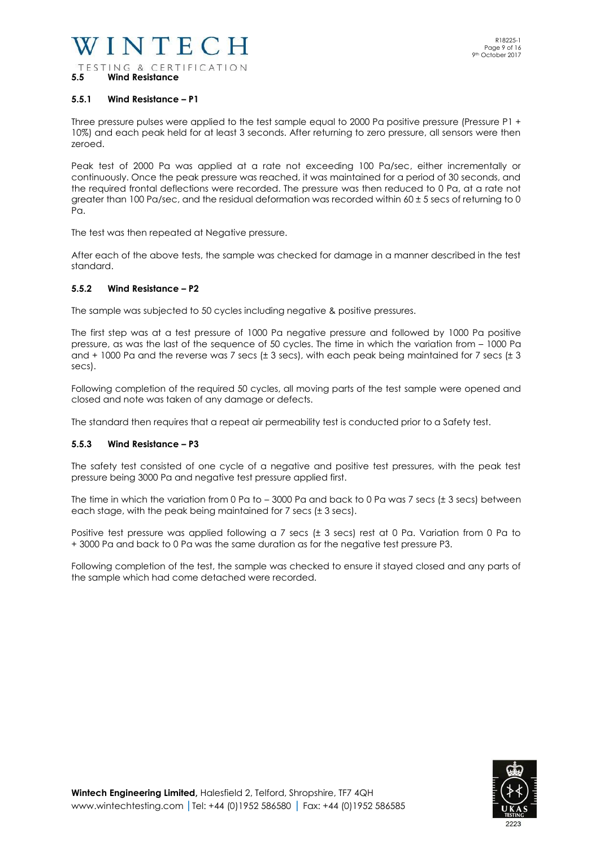#### **5.5.1 Wind Resistance – P1**

Three pressure pulses were applied to the test sample equal to 2000 Pa positive pressure (Pressure P1 + 10%) and each peak held for at least 3 seconds. After returning to zero pressure, all sensors were then zeroed.

Peak test of 2000 Pa was applied at a rate not exceeding 100 Pa/sec, either incrementally or continuously. Once the peak pressure was reached, it was maintained for a period of 30 seconds, and the required frontal deflections were recorded. The pressure was then reduced to 0 Pa, at a rate not greater than 100 Pa/sec, and the residual deformation was recorded within 60 ± 5 secs of returning to 0 Pa.

The test was then repeated at Negative pressure.

After each of the above tests, the sample was checked for damage in a manner described in the test standard.

#### **5.5.2 Wind Resistance – P2**

The sample was subjected to 50 cycles including negative & positive pressures.

The first step was at a test pressure of 1000 Pa negative pressure and followed by 1000 Pa positive pressure, as was the last of the sequence of 50 cycles. The time in which the variation from – 1000 Pa and + 1000 Pa and the reverse was 7 secs (± 3 secs), with each peak being maintained for 7 secs (± 3 secs).

Following completion of the required 50 cycles, all moving parts of the test sample were opened and closed and note was taken of any damage or defects.

The standard then requires that a repeat air permeability test is conducted prior to a Safety test.

#### **5.5.3 Wind Resistance – P3**

The safety test consisted of one cycle of a negative and positive test pressures, with the peak test pressure being 3000 Pa and negative test pressure applied first.

The time in which the variation from 0 Pa to – 3000 Pa and back to 0 Pa was 7 secs (± 3 secs) between each stage, with the peak being maintained for 7 secs (± 3 secs).

Positive test pressure was applied following a 7 secs (± 3 secs) rest at 0 Pa. Variation from 0 Pa to + 3000 Pa and back to 0 Pa was the same duration as for the negative test pressure P3.

Following completion of the test, the sample was checked to ensure it stayed closed and any parts of the sample which had come detached were recorded.

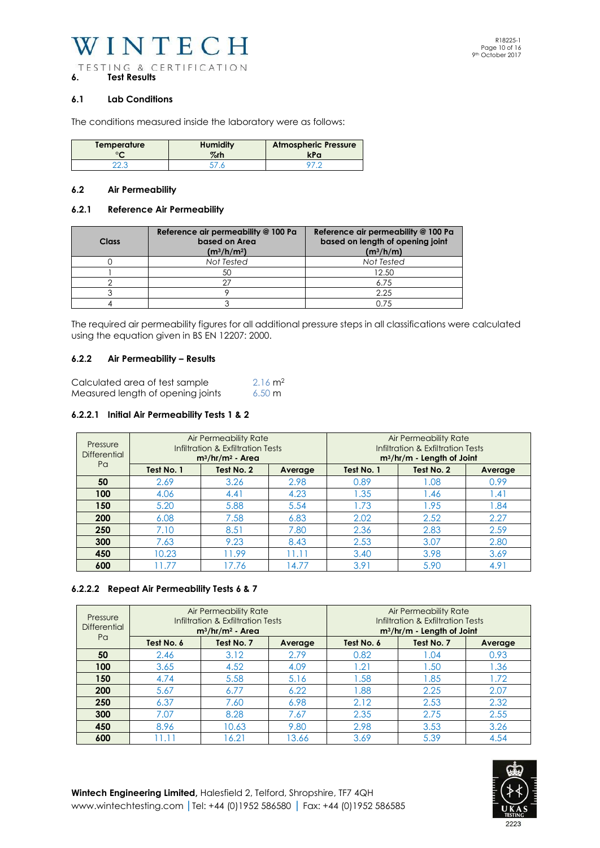#### **6.1 Lab Conditions**

The conditions measured inside the laboratory were as follows:

| Temperature | <b>Humidity</b> | <b>Atmospheric Pressure</b> |
|-------------|-----------------|-----------------------------|
| $\sim$      | $\%$ rh         | kPa                         |
|             |                 |                             |

#### **6.2 Air Permeability**

#### **6.2.1 Reference Air Permeability**

| Class | Reference air permeability @ 100 Pa<br>based on Area<br>$(m^3/h/m^2)$ | Reference air permeability @ 100 Pa<br>based on length of opening joint<br>$(m^3/h/m)$ |
|-------|-----------------------------------------------------------------------|----------------------------------------------------------------------------------------|
|       | Not Tested                                                            | Not Tested                                                                             |
|       | 50                                                                    | 12.50                                                                                  |
|       |                                                                       | 6.75                                                                                   |
|       |                                                                       | 2.25                                                                                   |
|       |                                                                       | በ 7.5                                                                                  |

The required air permeability figures for all additional pressure steps in all classifications were calculated using the equation given in BS EN 12207: 2000.

#### **6.2.2 Air Permeability – Results**

| Calculated area of test sample    | $2.16 \text{ m}^2$ |
|-----------------------------------|--------------------|
| Measured length of opening joints | $6.50 \text{ m}$   |

#### **6.2.2.1 Initial Air Permeability Tests 1 & 2**

| Pressure<br><b>Differential</b> |            | <b>Air Permeability Rate</b><br>Infiltration & Exfiltration Tests<br>$m^3/hr/m^2$ - Area |         | Air Permeability Rate<br>Infiltration & Exfiltration Tests<br>$m^3/hr/m$ - Length of Joint |            |                |
|---------------------------------|------------|------------------------------------------------------------------------------------------|---------|--------------------------------------------------------------------------------------------|------------|----------------|
| Pa                              | Test No. 1 | Test No. 2                                                                               | Average | Test No. 1                                                                                 | Test No. 2 | Average        |
| 50                              | 2.69       | 3.26                                                                                     | 2.98    | 0.89                                                                                       | .08        | 0.99           |
| 100                             | 4.06       | 4.41                                                                                     | 4.23    | 1.35                                                                                       | 46. ا      | $\mathsf{.41}$ |
| 150                             | 5.20       | 5.88                                                                                     | 5.54    | 1.73                                                                                       | 1.95       | .84            |
| 200                             | 6.08       | 7.58                                                                                     | 6.83    | 2.02                                                                                       | 2.52       | 2.27           |
| 250                             | 7.10       | 8.51                                                                                     | 7.80    | 2.36                                                                                       | 2.83       | 2.59           |
| 300                             | 7.63       | 9.23                                                                                     | 8.43    | 2.53                                                                                       | 3.07       | 2.80           |
| 450                             | 10.23      | 11.99                                                                                    | 11.11   | 3.40                                                                                       | 3.98       | 3.69           |
| 600                             | 11.77      | 17.76                                                                                    | 14.77   | 3.91                                                                                       | 5.90       | 4.91           |

#### **6.2.2.2 Repeat Air Permeability Tests 6 & 7**

| Pressure<br><b>Differential</b> | Air Permeability Rate<br>Infiltration & Exfiltration Tests<br>$m^3/hr/m^2$ - Area |            | Air Permeability Rate<br>Infiltration & Exfiltration Tests<br>m <sup>3</sup> /hr/m - Length of Joint |            |            |         |
|---------------------------------|-----------------------------------------------------------------------------------|------------|------------------------------------------------------------------------------------------------------|------------|------------|---------|
| Pa                              | Test No. 6                                                                        | Test No. 7 | Average                                                                                              | Test No. 6 | Test No. 7 | Average |
| 50                              | 2.46                                                                              | 3.12       | 2.79                                                                                                 | 0.82       | 1.04       | 0.93    |
| 100                             | 3.65                                                                              | 4.52       | 4.09                                                                                                 | 1.21       | 1.50       | 1.36    |
| 150                             | 4.74                                                                              | 5.58       | 5.16                                                                                                 | 1.58       | 1.85       | 1.72    |
| 200                             | 5.67                                                                              | 6.77       | 6.22                                                                                                 | .88        | 2.25       | 2.07    |
| 250                             | 6.37                                                                              | 7.60       | 6.98                                                                                                 | 2.12       | 2.53       | 2.32    |
| 300                             | 7.07                                                                              | 8.28       | 7.67                                                                                                 | 2.35       | 2.75       | 2.55    |
| 450                             | 8.96                                                                              | 10.63      | 9.80                                                                                                 | 2.98       | 3.53       | 3.26    |
| 600                             |                                                                                   | 6.21       | 13.66                                                                                                | 3.69       | 5.39       | 4.54    |

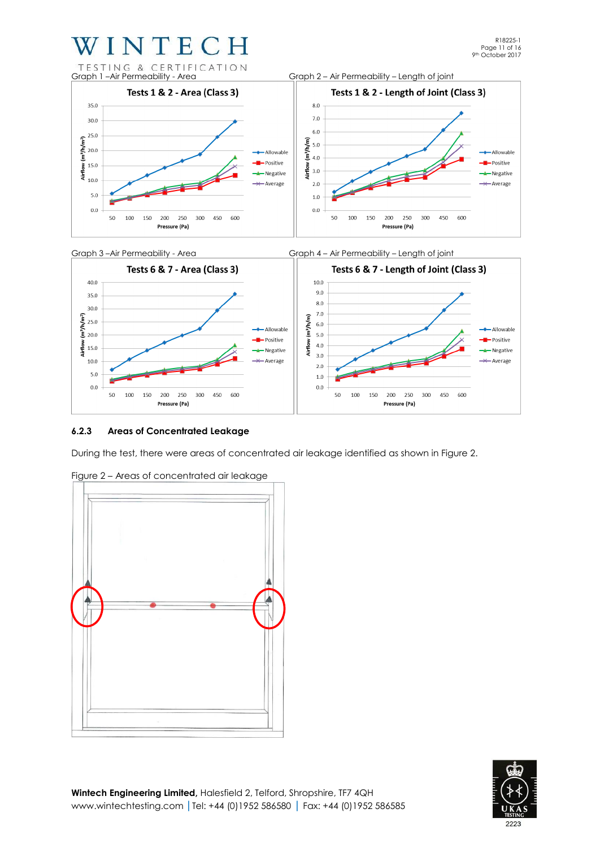



#### **6.2.3 Areas of Concentrated Leakage**

During the test, there were areas of concentrated air leakage identified as shown in Figure 2.



Figure 2 – Areas of concentrated air leakage

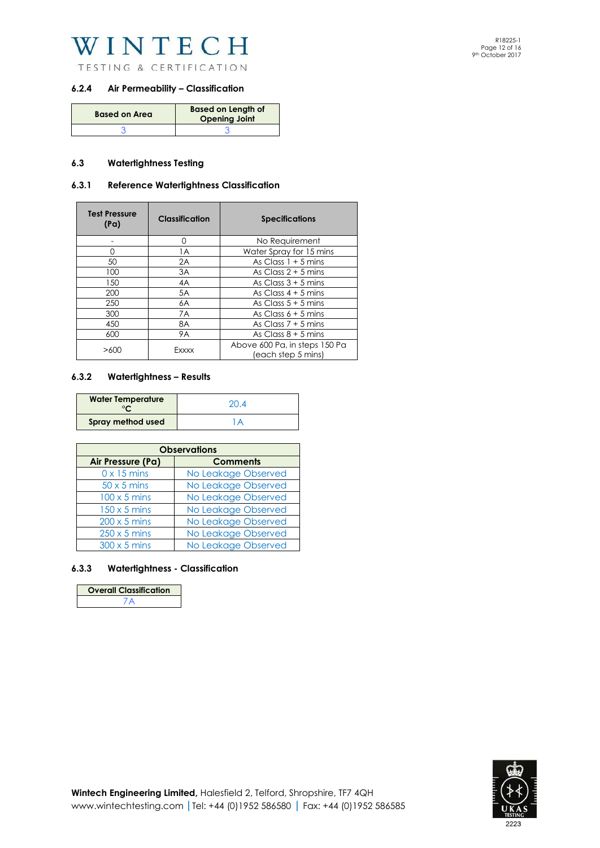

TESTING & CERTIFICATION

#### **6.2.4 Air Permeability – Classification**

| <b>Based on Area</b> | <b>Based on Length of</b><br><b>Opening Joint</b> |
|----------------------|---------------------------------------------------|
|                      |                                                   |

#### **6.3 Watertightness Testing**

#### **6.3.1 Reference Watertightness Classification**

| <b>Test Pressure</b><br>(Pa) | Classification | <b>Specifications</b>                               |  |
|------------------------------|----------------|-----------------------------------------------------|--|
|                              | O              | No Requirement                                      |  |
| U                            | 1A             | Water Spray for 15 mins                             |  |
| 50                           | 2A             | As Class $1 + 5$ mins                               |  |
| 100                          | 3A             | As Class $2 + 5$ mins                               |  |
| 150                          | 4A             | As Class $3 + 5$ mins                               |  |
| 200                          | 5A             | As Class $4 + 5$ mins                               |  |
| 250                          | 6A             | As Class $5 + 5$ mins                               |  |
| 300                          | 7A             | As Class $6 + 5$ mins                               |  |
| 450                          | 8A             | As Class $7 + 5$ mins                               |  |
| 600                          | 9A             | As Class $8 + 5$ mins                               |  |
| >600                         | Exxxx          | Above 600 Pa, in steps 150 Pa<br>(each step 5 mins) |  |

#### **6.3.2 Watertightness – Results**

| <b>Water Temperature</b> | 20.4 |
|--------------------------|------|
| Spray method used        |      |

| <b>Observations</b> |                     |  |
|---------------------|---------------------|--|
| Air Pressure (Pa)   | <b>Comments</b>     |  |
| $0 \times 15$ mins  | No Leakage Observed |  |
| $50 \times 5$ mins  | No Leakage Observed |  |
| $100 \times 5$ mins | No Leakage Observed |  |
| $150 \times 5$ mins | No Leakage Observed |  |
| $200 \times 5$ mins | No Leakage Observed |  |
| $250 \times 5$ mins | No Leakage Observed |  |
| $300 \times 5$ mins | No Leakage Observed |  |

#### **6.3.3 Watertightness - Classification**

| <b>Overall Classification</b> |
|-------------------------------|
|                               |

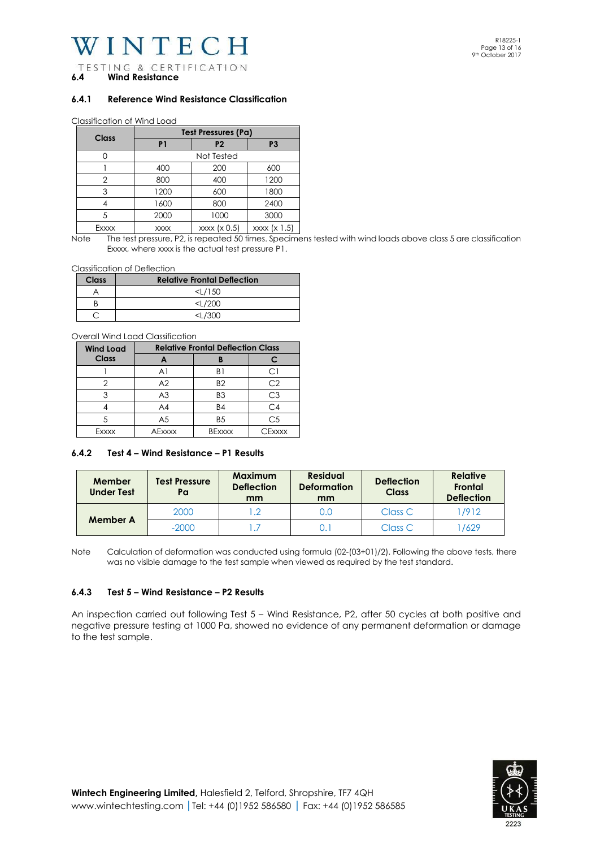VINTECH

TESTING & CERTIFICATION **6.4 Wind Resistance** 

#### **6.4.1 Reference Wind Resistance Classification**

Classification of Wind Load

| Class | <b>Test Pressures (Pa)</b> |                |                |  |
|-------|----------------------------|----------------|----------------|--|
|       | P <sub>1</sub>             | P <sub>2</sub> | P <sub>3</sub> |  |
|       |                            | Not Tested     |                |  |
|       | 400                        | 200            | 600            |  |
| 2     | 800                        | 400            | 1200           |  |
| 3     | 1200                       | 600            | 1800           |  |
|       | 1600                       | 800            | 2400           |  |
| 5     | 2000                       | 1000           | 3000           |  |
| Exxxx | <b>XXXX</b>                | xxxx (x 0.5)   | xxxx (x 1.5)   |  |

Note The test pressure, P2, is repeated 50 times. Specimens tested with wind loads above class 5 are classification Exxxx, where xxxx is the actual test pressure P1.

Classification of Deflection

| Class | <b>Relative Frontal Deflection</b> |
|-------|------------------------------------|
|       | $<$ L/150                          |
|       | $<$ L/200                          |
|       | <1/300                             |

Overall Wind Load Classification

| <b>Wind Load</b> | <b>Relative Frontal Deflection Class</b> |                |                    |
|------------------|------------------------------------------|----------------|--------------------|
| Class            |                                          |                |                    |
|                  | A <sub>1</sub>                           | B۱             | . .                |
|                  | A <sub>2</sub>                           | B <sub>2</sub> | C2                 |
|                  | A <sub>3</sub>                           | B <sub>3</sub> | С3                 |
|                  | A4                                       | <b>B4</b>      | C <sub>4</sub>     |
|                  | A <sub>5</sub>                           | B <sub>5</sub> | C <sub>5</sub>     |
| Fxxxx            | <b>AFxxxx</b>                            | <b>BExxxx</b>  | $r_{\text{Fxxxx}}$ |

#### **6.4.2 Test 4 – Wind Resistance – P1 Results**

| Member<br><b>Under Test</b> | <b>Test Pressure</b><br>Pa | <b>Maximum</b><br><b>Deflection</b><br>mm | <b>Residual</b><br><b>Deformation</b><br>mm | <b>Deflection</b><br><b>Class</b> | <b>Relative</b><br>Frontal<br><b>Deflection</b> |
|-----------------------------|----------------------------|-------------------------------------------|---------------------------------------------|-----------------------------------|-------------------------------------------------|
| Member A                    | 2000                       | $\overline{\phantom{0}}$ .2               | 0.0                                         | Class C                           | 1/912                                           |
|                             | $-2000$                    |                                           |                                             | Class C                           | 1629                                            |

Note Calculation of deformation was conducted using formula (02-(03+01)/2). Following the above tests, there was no visible damage to the test sample when viewed as required by the test standard.

#### **6.4.3 Test 5 – Wind Resistance – P2 Results**

An inspection carried out following Test 5 – Wind Resistance, P2, after 50 cycles at both positive and negative pressure testing at 1000 Pa, showed no evidence of any permanent deformation or damage to the test sample.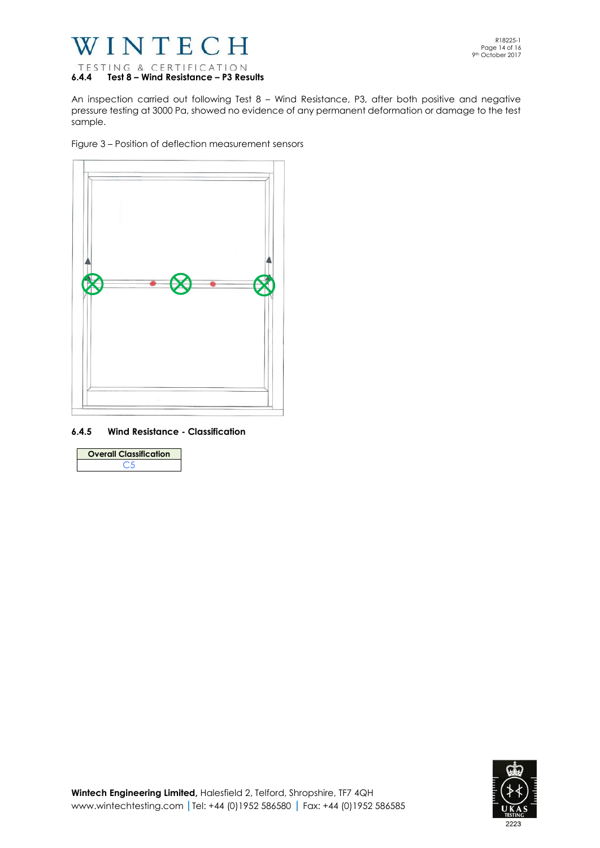

An inspection carried out following Test 8 – Wind Resistance, P3, after both positive and negative pressure testing at 3000 Pa, showed no evidence of any permanent deformation or damage to the test sample.

Figure 3 – Position of deflection measurement sensors



#### **6.4.5 Wind Resistance - Classification**

| <b>Overall Classification</b> |
|-------------------------------|
|                               |

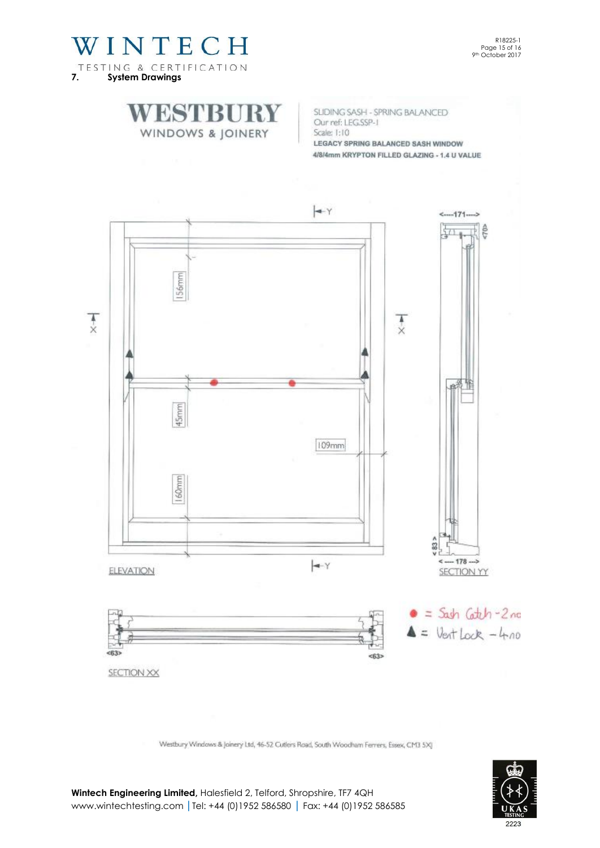

R18225-1 Page 15 of 16 9th October 2017

SLIDING SASH - SPRING BALANCED Our ref: LEG.SSP-1 Scale: 1:10 LEGACY SPRING BALANCED SASH WINDOW 4/8/4mm KRYPTON FILLED GLAZING - 1.4 U VALUE



Westbury Windows & Joinery Ltd, 46-52 Cutlers Road, South Woodham Ferrers, Essex, CM3 5X]



**Wintech Engineering Limited,** Halesfield 2, Telford, Shropshire, TF7 4QH [www.wintechtesting.com](http://www.wintechtesting.com/) **|**Tel: +44 (0)1952 586580 **|** Fax: +44 (0)1952 586585